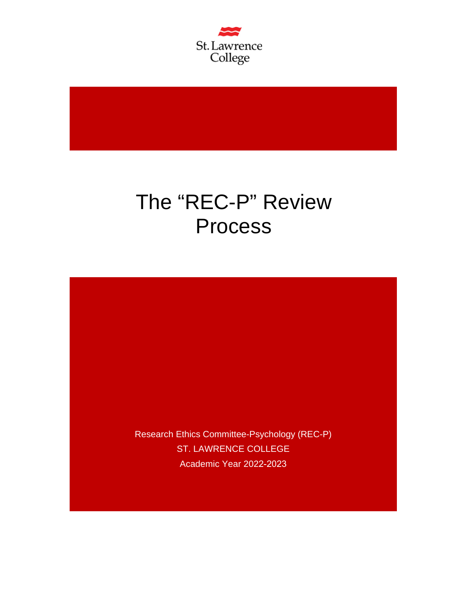

# The "REC-P" Review Process

Research Ethics Committee-Psychology (REC-P) ST. LAWRENCE COLLEGE Academic Year 2022-2023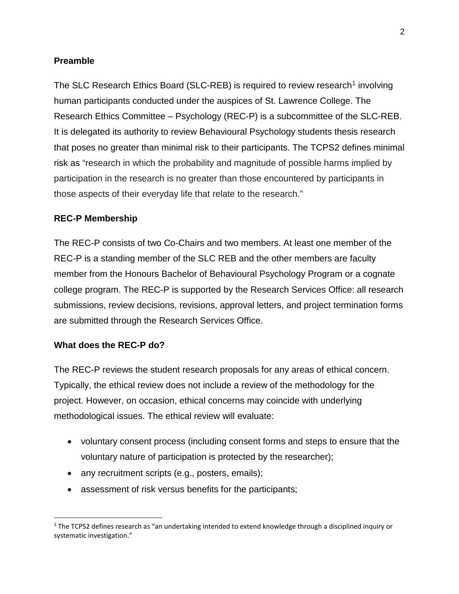### **Preamble**

The SLC Research Ethics Board (SLC-REB) is required to review research<sup>[1](#page-1-0)</sup> involving human participants conducted under the auspices of St. Lawrence College. The Research Ethics Committee – Psychology (REC-P) is a subcommittee of the SLC-REB. It is delegated its authority to review Behavioural Psychology students thesis research that poses no greater than minimal risk to their participants. The TCPS2 defines minimal risk as "research in which the probability and magnitude of possible harms implied by participation in the research is no greater than those encountered by participants in those aspects of their everyday life that relate to the research."

#### **REC-P Membership**

The REC-P consists of two Co-Chairs and two members. At least one member of the REC-P is a standing member of the SLC REB and the other members are faculty member from the Honours Bachelor of Behavioural Psychology Program or a cognate college program. The REC-P is supported by the Research Services Office: all research submissions, review decisions, revisions, approval letters, and project termination forms are submitted through the Research Services Office.

#### **What does the REC-P do?**

The REC-P reviews the student research proposals for any areas of ethical concern. Typically, the ethical review does not include a review of the methodology for the project. However, on occasion, ethical concerns may coincide with underlying methodological issues. The ethical review will evaluate:

- voluntary consent process (including consent forms and steps to ensure that the voluntary nature of participation is protected by the researcher);
- any recruitment scripts (e.g., posters, emails);
- assessment of risk versus benefits for the participants;

<span id="page-1-0"></span> $1$  The TCPS2 defines research as "an undertaking intended to extend knowledge through a disciplined inquiry or systematic investigation."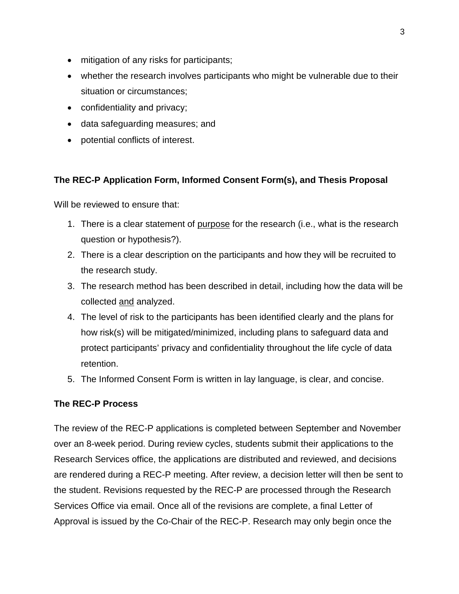- mitigation of any risks for participants;
- whether the research involves participants who might be vulnerable due to their situation or circumstances;
- confidentiality and privacy;
- data safeguarding measures; and
- potential conflicts of interest.

## **The REC-P Application Form, Informed Consent Form(s), and Thesis Proposal**

Will be reviewed to ensure that:

- 1. There is a clear statement of purpose for the research (i.e., what is the research question or hypothesis?).
- 2. There is a clear description on the participants and how they will be recruited to the research study.
- 3. The research method has been described in detail, including how the data will be collected and analyzed.
- 4. The level of risk to the participants has been identified clearly and the plans for how risk(s) will be mitigated/minimized, including plans to safeguard data and protect participants' privacy and confidentiality throughout the life cycle of data retention.
- 5. The Informed Consent Form is written in lay language, is clear, and concise.

## **The REC-P Process**

The review of the REC-P applications is completed between September and November over an 8-week period. During review cycles, students submit their applications to the Research Services office, the applications are distributed and reviewed, and decisions are rendered during a REC-P meeting. After review, a decision letter will then be sent to the student. Revisions requested by the REC-P are processed through the Research Services Office via email. Once all of the revisions are complete, a final Letter of Approval is issued by the Co-Chair of the REC-P. Research may only begin once the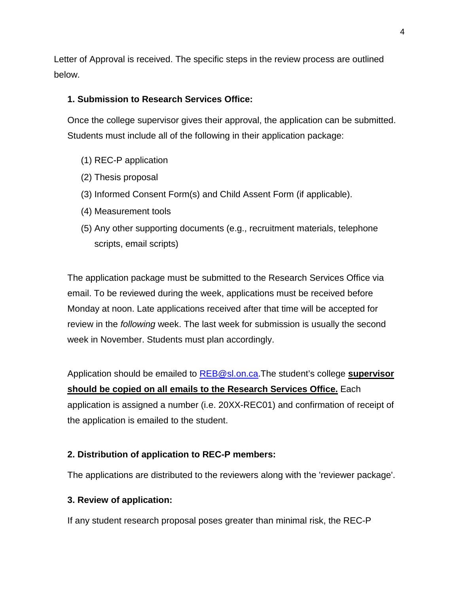Letter of Approval is received. The specific steps in the review process are outlined below.

## **1. Submission to Research Services Office:**

Once the college supervisor gives their approval, the application can be submitted. Students must include all of the following in their application package:

- (1) REC-P application
- (2) Thesis proposal
- (3) Informed Consent Form(s) and Child Assent Form (if applicable).
- (4) Measurement tools
- (5) Any other supporting documents (e.g., recruitment materials, telephone scripts, email scripts)

The application package must be submitted to the Research Services Office via email. To be reviewed during the week, applications must be received before Monday at noon. Late applications received after that time will be accepted for review in the *following* week. The last week for submission is usually the second week in November. Students must plan accordingly.

Application should be emailed to [REB@sl.on.ca.](mailto:REB@sl.on.ca)The student's college **supervisor should be copied on all emails to the Research Services Office.** Each application is assigned a number (i.e. 20XX-REC01) and confirmation of receipt of the application is emailed to the student.

## **2. Distribution of application to REC-P members:**

The applications are distributed to the reviewers along with the 'reviewer package'.

## **3. Review of application:**

If any student research proposal poses greater than minimal risk, the REC-P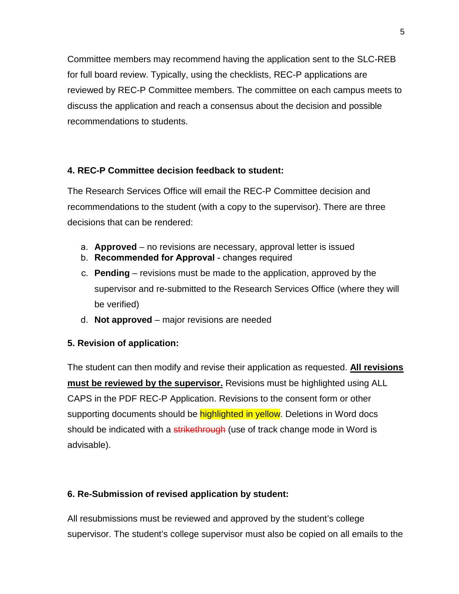Committee members may recommend having the application sent to the SLC-REB for full board review. Typically, using the checklists, REC-P applications are reviewed by REC-P Committee members. The committee on each campus meets to discuss the application and reach a consensus about the decision and possible recommendations to students.

# **4. REC-P Committee decision feedback to student:**

The Research Services Office will email the REC-P Committee decision and recommendations to the student (with a copy to the supervisor). There are three decisions that can be rendered:

- a. **Approved** no revisions are necessary, approval letter is issued
- b. **Recommended for Approval** changes required
- c. **Pending** revisions must be made to the application, approved by the supervisor and re-submitted to the Research Services Office (where they will be verified)
- d. **Not approved** major revisions are needed

# **5. Revision of application:**

The student can then modify and revise their application as requested. **All revisions must be reviewed by the supervisor.** Revisions must be highlighted using ALL CAPS in the PDF REC-P Application. Revisions to the consent form or other supporting documents should be highlighted in yellow. Deletions in Word docs should be indicated with a strikethrough (use of track change mode in Word is advisable).

# **6. Re-Submission of revised application by student:**

All resubmissions must be reviewed and approved by the student's college supervisor. The student's college supervisor must also be copied on all emails to the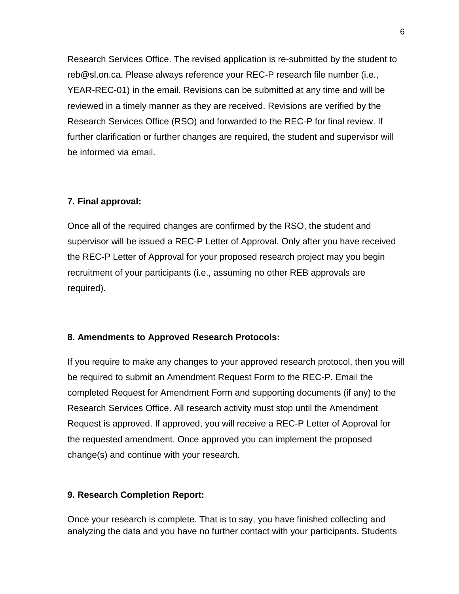Research Services Office. The revised application is re-submitted by the student to reb@sl.on.ca. Please always reference your REC-P research file number (i.e., YEAR-REC-01) in the email. Revisions can be submitted at any time and will be reviewed in a timely manner as they are received. Revisions are verified by the Research Services Office (RSO) and forwarded to the REC-P for final review. If further clarification or further changes are required, the student and supervisor will be informed via email.

## **7. Final approval:**

Once all of the required changes are confirmed by the RSO, the student and supervisor will be issued a REC-P Letter of Approval. Only after you have received the REC-P Letter of Approval for your proposed research project may you begin recruitment of your participants (i.e., assuming no other REB approvals are required).

## **8. Amendments to Approved Research Protocols:**

If you require to make any changes to your approved research protocol, then you will be required to submit an Amendment Request Form to the REC-P. Email the completed Request for Amendment Form and supporting documents (if any) to the Research Services Office. All research activity must stop until the Amendment Request is approved. If approved, you will receive a REC-P Letter of Approval for the requested amendment. Once approved you can implement the proposed change(s) and continue with your research.

## **9. Research Completion Report:**

Once your research is complete. That is to say, you have finished collecting and analyzing the data and you have no further contact with your participants. Students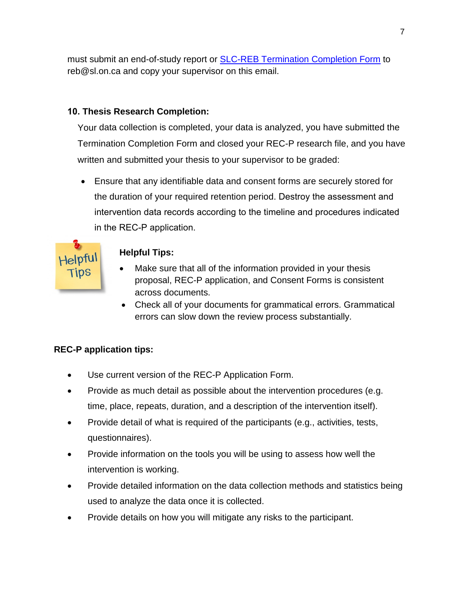must submit an end-of-study report or **SLC-REB Termination Completion Form to** reb@sl.on.ca and copy your supervisor on this email.

# **10. Thesis Research Completion:**

Your data collection is completed, your data is analyzed, you have submitted the Termination Completion Form and closed your REC-P research file, and you have written and submitted your thesis to your supervisor to be graded:

• Ensure that any identifiable data and consent forms are securely stored for the duration of your required retention period. Destroy the assessment and intervention data records according to the timeline and procedures indicated in the REC-P application.



# **Helpful Tips:**

- Make sure that all of the information provided in your thesis proposal, REC-P application, and Consent Forms is consistent across documents.
- Check all of your documents for grammatical errors. Grammatical errors can slow down the review process substantially.

# **REC-P application tips:**

- Use current version of the REC-P Application Form.
- Provide as much detail as possible about the intervention procedures (e.g. time, place, repeats, duration, and a description of the intervention itself).
- Provide detail of what is required of the participants (e.g., activities, tests, questionnaires).
- Provide information on the tools you will be using to assess how well the intervention is working.
- Provide detailed information on the data collection methods and statistics being used to analyze the data once it is collected.
- Provide details on how you will mitigate any risks to the participant.